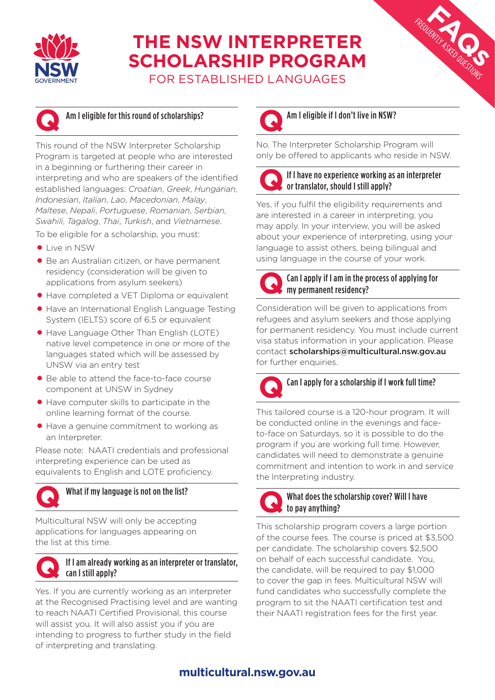

# **THE NSW INTERPRETER SCHOLARSHIP PROGRAM**

FOR ESTABLISHED LANGUAGES



### Am I eligible for this round of scholarships?

This round of the NSW Interpreter Scholarship Program is targeted at people who are interested in a beginning or furthering their career in interpreting and who are speakers of the identified established languages: *Croatian*, *Greek*, *Hungarian*, *Indonesian*, *Italian*, *Lao*, *Macedonian*, *Malay*, *Maltese*, *Nepali*, *Portuguese*, *Romanian*, *Serbian*, *Swahili*, *Tagalog*, *Thai*, *Turkish*, and *Vietnamese*.

To be eligible for a scholarship, you must:

- **•** Live in NSW
- Be an Australian citizen, or have permanent residency (consideration will be given to applications from asylum seekers)
- Have completed a VET Diploma or equivalent
- Have an International English Language Testing System (IELTS) score of 6.5 or equivalent
- Have Language Other Than English (LOTE) native level competence in one or more of the languages stated which will be assessed by UNSW via an entry test
- Be able to attend the face-to-face course component at UNSW in Sydney
- Have computer skills to participate in the online learning format of the course.
- Have a genuine commitment to working as an Interpreter.

Please note: NAATI credentials and professional interpreting experience can be used as equivalents to English and LOTE proficiency.



# What if my language is not on the list?

Multicultural NSW will only be accepting applications for languages appearing on the list at this time.

#### If I am already working as an interpreter or translator, can I still apply? **Q**

Yes. If you are currently working as an interpreter at the Recognised Practising level and are wanting to reach NAATI Certified Provisional, this course will assist you. It will also assist you if you are intending to progress to further study in the field of interpreting and translating.



Am I eligible if I don't live in NSW?

No. The Interpreter Scholarship Program will only be offered to applicants who reside in NSW.



#### If I have no experience working as an interpreter or translator, should I still apply?

FACQUENTLY ASKED QUESTIONS

Yes, if you fulfil the eligibility requirements and are interested in a career in interpreting, you may apply. In your interview, you will be asked about your experience of interpreting, using your language to assist others, being bilingual and using language in the course of your work.



#### Can I apply if I am in the process of applying for my permanent residency?

Consideration will be given to applications from refugees and asylum seekers and those applying for permanent residency. You must include current visa status information in your application. Please contact scholarships@multicultural.nsw.gov.au for further enquiries.



This tailored course is a 120-hour program. It will be conducted online in the evenings and faceto-face on Saturdays, so it is possible to do the program if you are working full time. However, candidates will need to demonstrate a genuine commitment and intention to work in and service the Interpreting industry.



This scholarship program covers a large portion of the course fees. The course is priced at \$3,500 per candidate. The scholarship covers \$2,500 on behalf of each successful candidate. You, the candidate, will be required to pay \$1,000 to cover the gap in fees. Multicultural NSW will fund candidates who successfully complete the program to sit the NAATI certification test and their NAATI registration fees for the first year.

## **[multicultural.nsw.gov.au](https://multicultural.nsw.gov.au/)**